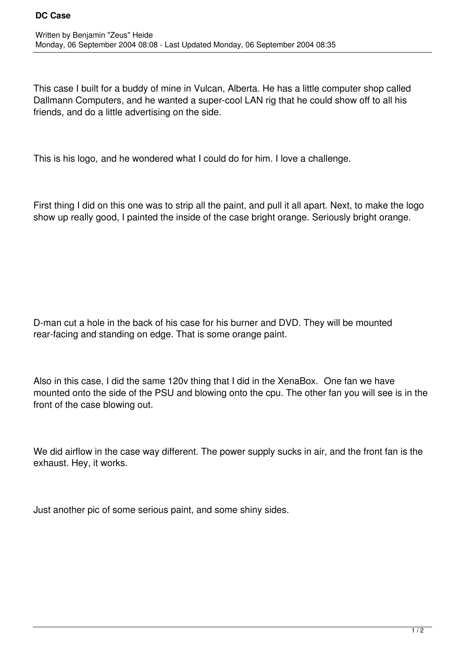This case I built for a buddy of mine in Vulcan, Alberta. He has a little computer shop called Dallmann Computers, and he wanted a super-cool LAN rig that he could show off to all his friends, and do a little advertising on the side.

This is his logo, and he wondered what I could do for him. I love a challenge.

First thing I did on this one was to strip all the paint, and pull it all apart. Next, to make the logo show up really good, I painted the inside of the case bright orange. Seriously bright orange.

D-man cut a hole in the back of his case for his burner and DVD. They will be mounted rear-facing and standing on edge. That is some orange paint.

Also in this case, I did the same 120v thing that I did in the XenaBox. One fan we have mounted onto the side of the PSU and blowing onto the cpu. The other fan you will see is in the front of the case blowing out.

We did airflow in the case way different. The power supply sucks in air, and the front fan is the exhaust. Hey, it works.

Just another pic of some serious paint, and some shiny sides.